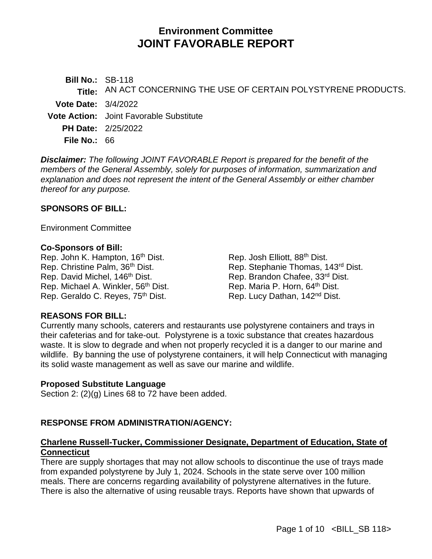# **Environment Committee JOINT FAVORABLE REPORT**

**Bill No.:** SB-118 **Title:** AN ACT CONCERNING THE USE OF CERTAIN POLYSTYRENE PRODUCTS. **Vote Date:** 3/4/2022 **Vote Action:** Joint Favorable Substitute **PH Date:** 2/25/2022 **File No.:** 66

*Disclaimer: The following JOINT FAVORABLE Report is prepared for the benefit of the members of the General Assembly, solely for purposes of information, summarization and explanation and does not represent the intent of the General Assembly or either chamber thereof for any purpose.*

#### **SPONSORS OF BILL:**

Environment Committee

#### **Co-Sponsors of Bill:**

Rep. John K. Hampton, 16<sup>th</sup> Dist. Rep. Christine Palm, 36<sup>th</sup> Dist. Rep. David Michel, 146<sup>th</sup> Dist. Rep. Michael A. Winkler, 56th Dist. Rep. Geraldo C. Reyes, 75<sup>th</sup> Dist.

Rep. Josh Elliott, 88th Dist. Rep. Stephanie Thomas, 143rd Dist. Rep. Brandon Chafee, 33rd Dist. Rep. Maria P. Horn, 64<sup>th</sup> Dist. Rep. Lucy Dathan, 142nd Dist.

#### **REASONS FOR BILL:**

Currently many schools, caterers and restaurants use polystyrene containers and trays in their cafeterias and for take-out. Polystyrene is a toxic substance that creates hazardous waste. It is slow to degrade and when not properly recycled it is a danger to our marine and wildlife. By banning the use of polystyrene containers, it will help Connecticut with managing its solid waste management as well as save our marine and wildlife.

#### **Proposed Substitute Language**

Section 2: (2)(g) Lines 68 to 72 have been added.

#### **RESPONSE FROM ADMINISTRATION/AGENCY:**

#### **Charlene Russell-Tucker, Commissioner Designate, Department of Education, State of Connecticut**

There are supply shortages that may not allow schools to discontinue the use of trays made from expanded polystyrene by July 1, 2024. Schools in the state serve over 100 million meals. There are concerns regarding availability of polystyrene alternatives in the future. There is also the alternative of using reusable trays. Reports have shown that upwards of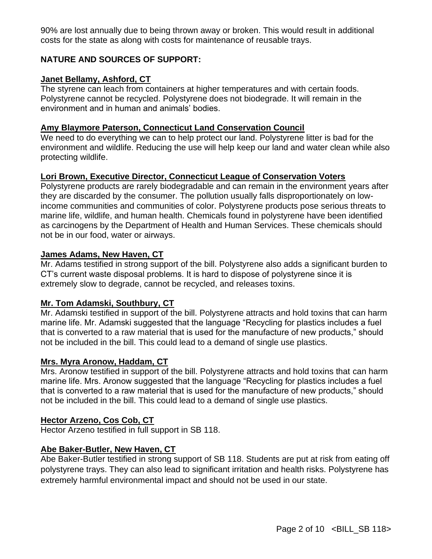90% are lost annually due to being thrown away or broken. This would result in additional costs for the state as along with costs for maintenance of reusable trays.

### **NATURE AND SOURCES OF SUPPORT:**

#### **Janet Bellamy, Ashford, CT**

The styrene can leach from containers at higher temperatures and with certain foods. Polystyrene cannot be recycled. Polystyrene does not biodegrade. It will remain in the environment and in human and animals' bodies.

#### **Amy Blaymore Paterson, Connecticut Land Conservation Council**

We need to do everything we can to help protect our land. Polystyrene litter is bad for the environment and wildlife. Reducing the use will help keep our land and water clean while also protecting wildlife.

### **Lori Brown, Executive Director, Connecticut League of Conservation Voters**

Polystyrene products are rarely biodegradable and can remain in the environment years after they are discarded by the consumer. The pollution usually falls disproportionately on lowincome communities and communities of color. Polystyrene products pose serious threats to marine life, wildlife, and human health. Chemicals found in polystyrene have been identified as carcinogens by the Department of Health and Human Services. These chemicals should not be in our food, water or airways.

#### **James Adams, New Haven, CT**

Mr. Adams testified in strong support of the bill. Polystyrene also adds a significant burden to CT's current waste disposal problems. It is hard to dispose of polystyrene since it is extremely slow to degrade, cannot be recycled, and releases toxins.

#### **Mr. Tom Adamski, Southbury, CT**

Mr. Adamski testified in support of the bill. Polystyrene attracts and hold toxins that can harm marine life. Mr. Adamski suggested that the language "Recycling for plastics includes a fuel that is converted to a raw material that is used for the manufacture of new products," should not be included in the bill. This could lead to a demand of single use plastics.

#### **Mrs. Myra Aronow, Haddam, CT**

Mrs. Aronow testified in support of the bill. Polystyrene attracts and hold toxins that can harm marine life. Mrs. Aronow suggested that the language "Recycling for plastics includes a fuel that is converted to a raw material that is used for the manufacture of new products," should not be included in the bill. This could lead to a demand of single use plastics.

#### **Hector Arzeno, Cos Cob, CT**

Hector Arzeno testified in full support in SB 118.

#### **Abe Baker-Butler, New Haven, CT**

Abe Baker-Butler testified in strong support of SB 118. Students are put at risk from eating off polystyrene trays. They can also lead to significant irritation and health risks. Polystyrene has extremely harmful environmental impact and should not be used in our state.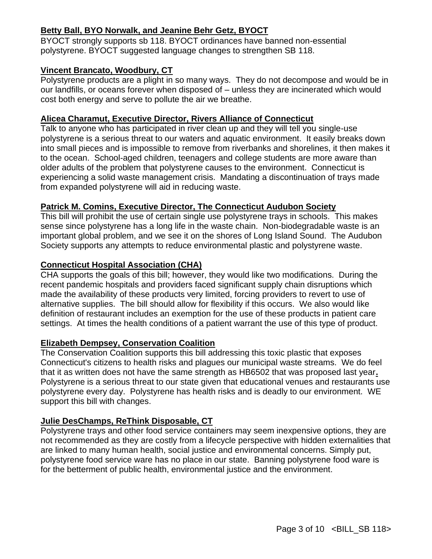## **Betty Ball, BYO Norwalk, and Jeanine Behr Getz, BYOCT**

BYOCT strongly supports sb 118. BYOCT ordinances have banned non-essential polystyrene. BYOCT suggested language changes to strengthen SB 118.

### **Vincent Brancato, Woodbury, CT**

Polystyrene products are a plight in so many ways. They do not decompose and would be in our landfills, or oceans forever when disposed of – unless they are incinerated which would cost both energy and serve to pollute the air we breathe.

## **Alicea Charamut, Executive Director, Rivers Alliance of Connecticut**

Talk to anyone who has participated in river clean up and they will tell you single-use polystyrene is a serious threat to our waters and aquatic environment. It easily breaks down into small pieces and is impossible to remove from riverbanks and shorelines, it then makes it to the ocean. School-aged children, teenagers and college students are more aware than older adults of the problem that polystyrene causes to the environment. Connecticut is experiencing a solid waste management crisis. Mandating a discontinuation of trays made from expanded polystyrene will aid in reducing waste.

## **Patrick M. Comins, Executive Director, The Connecticut Audubon Society**

This bill will prohibit the use of certain single use polystyrene trays in schools. This makes sense since polystyrene has a long life in the waste chain. Non-biodegradable waste is an important global problem, and we see it on the shores of Long Island Sound. The Audubon Society supports any attempts to reduce environmental plastic and polystyrene waste.

## **Connecticut Hospital Association (CHA)**

CHA supports the goals of this bill; however, they would like two modifications. During the recent pandemic hospitals and providers faced significant supply chain disruptions which made the availability of these products very limited, forcing providers to revert to use of alternative supplies. The bill should allow for flexibility if this occurs. We also would like definition of restaurant includes an exemption for the use of these products in patient care settings. At times the health conditions of a patient warrant the use of this type of product.

### **Elizabeth Dempsey, Conservation Coalition**

The Conservation Coalition supports this bill addressing this toxic plastic that exposes Connecticut's citizens to health risks and plagues our municipal waste streams. We do feel that it as written does not have the same strength as HB6502 that was proposed last year**.** Polystyrene is a serious threat to our state given that educational venues and restaurants use polystyrene every day. Polystyrene has health risks and is deadly to our environment. WE support this bill with changes.

## **Julie DesChamps, ReThink Disposable, CT**

Polystyrene trays and other food service containers may seem inexpensive options, they are not recommended as they are costly from a lifecycle perspective with hidden externalities that are linked to many human health, social justice and environmental concerns. Simply put, polystyrene food service ware has no place in our state. Banning polystyrene food ware is for the betterment of public health, environmental justice and the environment.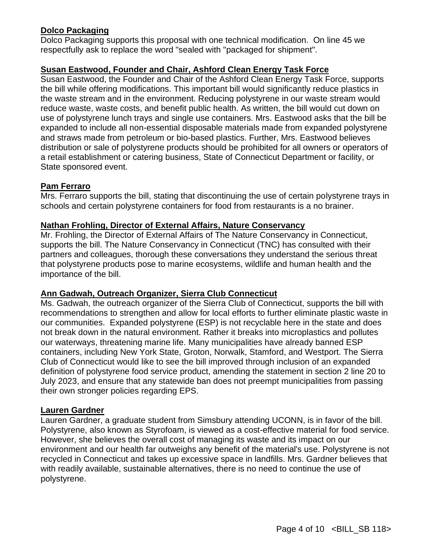### **Dolco Packaging**

Dolco Packaging supports this proposal with one technical modification. On line 45 we respectfully ask to replace the word "sealed with "packaged for shipment".

### **Susan Eastwood, Founder and Chair, Ashford Clean Energy Task Force**

Susan Eastwood, the Founder and Chair of the Ashford Clean Energy Task Force, supports the bill while offering modifications. This important bill would significantly reduce plastics in the waste stream and in the environment. Reducing polystyrene in our waste stream would reduce waste, waste costs, and benefit public health. As written, the bill would cut down on use of polystyrene lunch trays and single use containers. Mrs. Eastwood asks that the bill be expanded to include all non-essential disposable materials made from expanded polystyrene and straws made from petroleum or bio-based plastics. Further, Mrs. Eastwood believes distribution or sale of polystyrene products should be prohibited for all owners or operators of a retail establishment or catering business, State of Connecticut Department or facility, or State sponsored event.

#### **Pam Ferraro**

Mrs. Ferraro supports the bill, stating that discontinuing the use of certain polystyrene trays in schools and certain polystyrene containers for food from restaurants is a no brainer.

#### **Nathan Frohling, Director of External Affairs, Nature Conservancy**

Mr. Frohling, the Director of External Affairs of The Nature Conservancy in Connecticut, supports the bill. The Nature Conservancy in Connecticut (TNC) has consulted with their partners and colleagues, thorough these conversations they understand the serious threat that polystyrene products pose to marine ecosystems, wildlife and human health and the importance of the bill.

#### **Ann Gadwah, Outreach Organizer, Sierra Club Connecticut**

Ms. Gadwah, the outreach organizer of the Sierra Club of Connecticut, supports the bill with recommendations to strengthen and allow for local efforts to further eliminate plastic waste in our communities. Expanded polystyrene (ESP) is not recyclable here in the state and does not break down in the natural environment. Rather it breaks into microplastics and pollutes our waterways, threatening marine life. Many municipalities have already banned ESP containers, including New York State, Groton, Norwalk, Stamford, and Westport. The Sierra Club of Connecticut would like to see the bill improved through inclusion of an expanded definition of polystyrene food service product, amending the statement in section 2 line 20 to July 2023, and ensure that any statewide ban does not preempt municipalities from passing their own stronger policies regarding EPS.

#### **Lauren Gardner**

Lauren Gardner, a graduate student from Simsbury attending UCONN, is in favor of the bill. Polystyrene, also known as Styrofoam, is viewed as a cost-effective material for food service. However, she believes the overall cost of managing its waste and its impact on our environment and our health far outweighs any benefit of the material's use. Polystyrene is not recycled in Connecticut and takes up excessive space in landfills. Mrs. Gardner believes that with readily available, sustainable alternatives, there is no need to continue the use of polystyrene.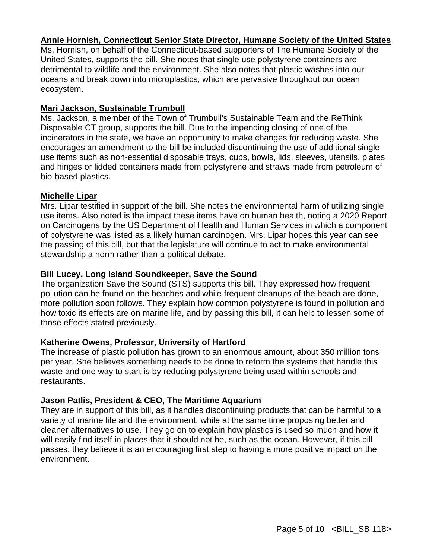### **Annie Hornish, Connecticut Senior State Director, Humane Society of the United States**

Ms. Hornish, on behalf of the Connecticut-based supporters of The Humane Society of the United States, supports the bill. She notes that single use polystyrene containers are detrimental to wildlife and the environment. She also notes that plastic washes into our oceans and break down into microplastics, which are pervasive throughout our ocean ecosystem.

#### **Mari Jackson, Sustainable Trumbull**

Ms. Jackson, a member of the Town of Trumbull's Sustainable Team and the ReThink Disposable CT group, supports the bill. Due to the impending closing of one of the incinerators in the state, we have an opportunity to make changes for reducing waste. She encourages an amendment to the bill be included discontinuing the use of additional singleuse items such as non-essential disposable trays, cups, bowls, lids, sleeves, utensils, plates and hinges or lidded containers made from polystyrene and straws made from petroleum of bio-based plastics.

#### **Michelle Lipar**

Mrs. Lipar testified in support of the bill. She notes the environmental harm of utilizing single use items. Also noted is the impact these items have on human health, noting a 2020 Report on Carcinogens by the US Department of Health and Human Services in which a component of polystyrene was listed as a likely human carcinogen. Mrs. Lipar hopes this year can see the passing of this bill, but that the legislature will continue to act to make environmental stewardship a norm rather than a political debate.

### **Bill Lucey, Long Island Soundkeeper, Save the Sound**

The organization Save the Sound (STS) supports this bill. They expressed how frequent pollution can be found on the beaches and while frequent cleanups of the beach are done, more pollution soon follows. They explain how common polystyrene is found in pollution and how toxic its effects are on marine life, and by passing this bill, it can help to lessen some of those effects stated previously.

### **Katherine Owens, Professor, University of Hartford**

The increase of plastic pollution has grown to an enormous amount, about 350 million tons per year. She believes something needs to be done to reform the systems that handle this waste and one way to start is by reducing polystyrene being used within schools and restaurants.

### **Jason Patlis, President & CEO, The Maritime Aquarium**

They are in support of this bill, as it handles discontinuing products that can be harmful to a variety of marine life and the environment, while at the same time proposing better and cleaner alternatives to use. They go on to explain how plastics is used so much and how it will easily find itself in places that it should not be, such as the ocean. However, if this bill passes, they believe it is an encouraging first step to having a more positive impact on the environment.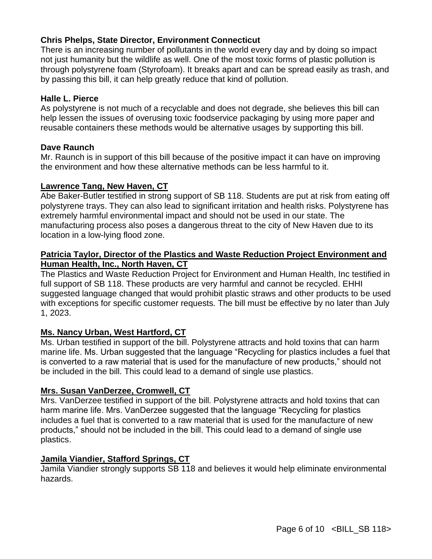### **Chris Phelps, State Director, Environment Connecticut**

There is an increasing number of pollutants in the world every day and by doing so impact not just humanity but the wildlife as well. One of the most toxic forms of plastic pollution is through polystyrene foam (Styrofoam). It breaks apart and can be spread easily as trash, and by passing this bill, it can help greatly reduce that kind of pollution.

#### **Halle L. Pierce**

As polystyrene is not much of a recyclable and does not degrade, she believes this bill can help lessen the issues of overusing toxic foodservice packaging by using more paper and reusable containers these methods would be alternative usages by supporting this bill.

#### **Dave Raunch**

Mr. Raunch is in support of this bill because of the positive impact it can have on improving the environment and how these alternative methods can be less harmful to it.

#### **Lawrence Tang, New Haven, CT**

Abe Baker-Butler testified in strong support of SB 118. Students are put at risk from eating off polystyrene trays. They can also lead to significant irritation and health risks. Polystyrene has extremely harmful environmental impact and should not be used in our state. The manufacturing process also poses a dangerous threat to the city of New Haven due to its location in a low-lying flood zone.

#### **Patricia Taylor, Director of the Plastics and Waste Reduction Project Environment and Human Health, Inc., North Haven, CT**

The Plastics and Waste Reduction Project for Environment and Human Health, Inc testified in full support of SB 118. These products are very harmful and cannot be recycled. EHHI suggested language changed that would prohibit plastic straws and other products to be used with exceptions for specific customer requests. The bill must be effective by no later than July 1, 2023.

#### **Ms. Nancy Urban, West Hartford, CT**

Ms. Urban testified in support of the bill. Polystyrene attracts and hold toxins that can harm marine life. Ms. Urban suggested that the language "Recycling for plastics includes a fuel that is converted to a raw material that is used for the manufacture of new products," should not be included in the bill. This could lead to a demand of single use plastics.

#### **Mrs. Susan VanDerzee, Cromwell, CT**

Mrs. VanDerzee testified in support of the bill. Polystyrene attracts and hold toxins that can harm marine life. Mrs. VanDerzee suggested that the language "Recycling for plastics includes a fuel that is converted to a raw material that is used for the manufacture of new products," should not be included in the bill. This could lead to a demand of single use plastics.

### **Jamila Viandier, Stafford Springs, CT**

Jamila Viandier strongly supports SB 118 and believes it would help eliminate environmental hazards.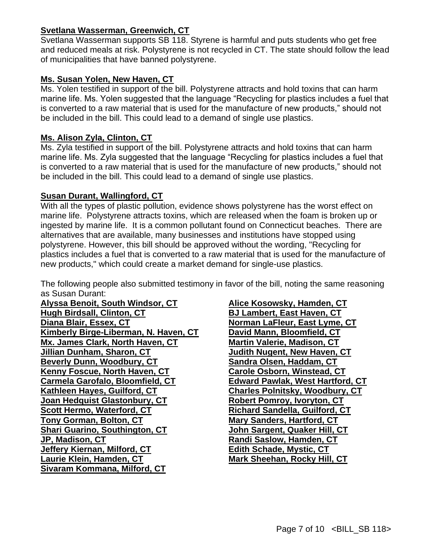### **Svetlana Wasserman, Greenwich, CT**

Svetlana Wasserman supports SB 118. Styrene is harmful and puts students who get free and reduced meals at risk. Polystyrene is not recycled in CT. The state should follow the lead of municipalities that have banned polystyrene.

## **Ms. Susan Yolen, New Haven, CT**

Ms. Yolen testified in support of the bill. Polystyrene attracts and hold toxins that can harm marine life. Ms. Yolen suggested that the language "Recycling for plastics includes a fuel that is converted to a raw material that is used for the manufacture of new products," should not be included in the bill. This could lead to a demand of single use plastics.

### **Ms. Alison Zyla, Clinton, CT**

Ms. Zyla testified in support of the bill. Polystyrene attracts and hold toxins that can harm marine life. Ms. Zyla suggested that the language "Recycling for plastics includes a fuel that is converted to a raw material that is used for the manufacture of new products," should not be included in the bill. This could lead to a demand of single use plastics.

### **Susan Durant, Wallingford, CT**

With all the types of plastic pollution, evidence shows polystyrene has the worst effect on marine life. Polystyrene attracts toxins, which are released when the foam is broken up or ingested by marine life. It is a common pollutant found on Connecticut beaches. There are alternatives that are available, many businesses and institutions have stopped using polystyrene. However, this bill should be approved without the wording, "Recycling for plastics includes a fuel that is converted to a raw material that is used for the manufacture of new products," which could create a market demand for single-use plastics.

The following people also submitted testimony in favor of the bill, noting the same reasoning as Susan Durant:

**Alyssa Benoit, South Windsor, CT Hugh Birdsall, Clinton, CT Diana Blair, Essex, CT Kimberly Birge-Liberman, N. Haven, CT Mx. James Clark, North Haven, CT Jillian Dunham, Sharon, CT Beverly Dunn, Woodbury, CT Kenny Foscue, North Haven, CT Carmela Garofalo, Bloomfield, CT Kathleen Hayes, Guilford, CT Joan Hedquist Glastonbury, CT Scott Hermo, Waterford, CT Tony Gorman, Bolton, CT Shari Guarino, Southington, CT JP, Madison, CT Jeffery Kiernan, Milford, CT Laurie Klein, Hamden, CT Sivaram Kommana, Milford, CT**

**Alice Kosowsky, Hamden, CT BJ Lambert, East Haven, CT Norman LaFleur, East Lyme, CT David Mann, Bloomfield, CT Martin Valerie, Madison, CT Judith Nugent, New Haven, CT Sandra Olsen, Haddam, CT Carole Osborn, Winstead, CT Edward Pawlak, West Hartford, CT Charles Polnitsky, Woodbury, CT Robert Pomroy, Ivoryton, CT Richard Sandella, Guilford, CT Mary Sanders, Hartford, CT John Sargent, Quaker Hill, CT Randi Saslow, Hamden, CT Edith Schade, Mystic, CT Mark Sheehan, Rocky Hill, CT**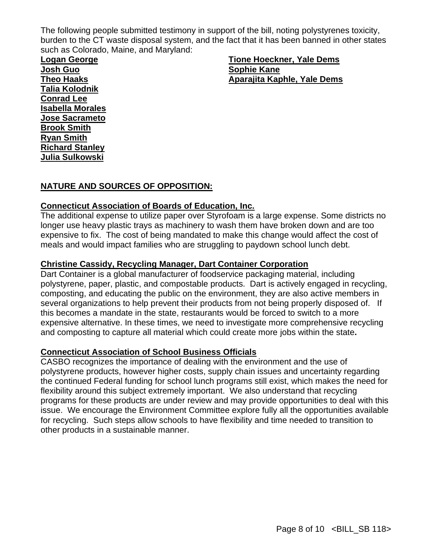The following people submitted testimony in support of the bill, noting polystyrenes toxicity, burden to the CT waste disposal system, and the fact that it has been banned in other states such as Colorado, Maine, and Maryland:

**Logan George Josh Guo Theo Haaks Talia Kolodnik Conrad Lee Isabella Morales Jose Sacrameto Brook Smith Ryan Smith Richard Stanley Julia Sulkowski**

**Tione Hoeckner, Yale Dems Sophie Kane Aparajita Kaphle, Yale Dems**

### **NATURE AND SOURCES OF OPPOSITION:**

#### **Connecticut Association of Boards of Education, Inc.**

The additional expense to utilize paper over Styrofoam is a large expense. Some districts no longer use heavy plastic trays as machinery to wash them have broken down and are too expensive to fix. The cost of being mandated to make this change would affect the cost of meals and would impact families who are struggling to paydown school lunch debt.

#### **Christine Cassidy, Recycling Manager, Dart Container Corporation**

Dart Container is a global manufacturer of foodservice packaging material, including polystyrene, paper, plastic, and compostable products. Dart is actively engaged in recycling, composting, and educating the public on the environment, they are also active members in several organizations to help prevent their products from not being properly disposed of. If this becomes a mandate in the state, restaurants would be forced to switch to a more expensive alternative. In these times, we need to investigate more comprehensive recycling and composting to capture all material which could create more jobs within the state**.**

#### **Connecticut Association of School Business Officials**

CASBO recognizes the importance of dealing with the environment and the use of polystyrene products, however higher costs, supply chain issues and uncertainty regarding the continued Federal funding for school lunch programs still exist, which makes the need for flexibility around this subject extremely important. We also understand that recycling programs for these products are under review and may provide opportunities to deal with this issue. We encourage the Environment Committee explore fully all the opportunities available for recycling. Such steps allow schools to have flexibility and time needed to transition to other products in a sustainable manner.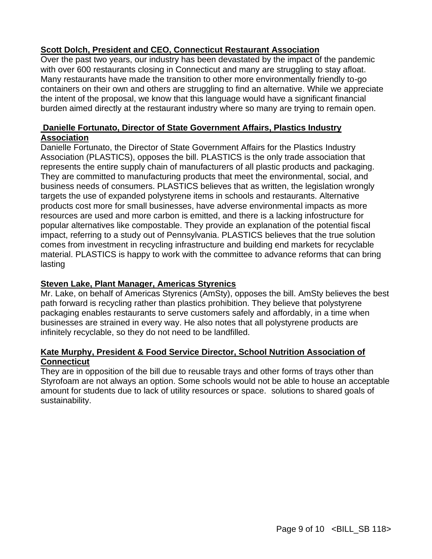### **Scott Dolch, President and CEO, Connecticut Restaurant Association**

Over the past two years, our industry has been devastated by the impact of the pandemic with over 600 restaurants closing in Connecticut and many are struggling to stay afloat. Many restaurants have made the transition to other more environmentally friendly to-go containers on their own and others are struggling to find an alternative. While we appreciate the intent of the proposal, we know that this language would have a significant financial burden aimed directly at the restaurant industry where so many are trying to remain open.

### **Danielle Fortunato, Director of State Government Affairs, Plastics Industry Association**

Danielle Fortunato, the Director of State Government Affairs for the Plastics Industry Association (PLASTICS), opposes the bill. PLASTICS is the only trade association that represents the entire supply chain of manufacturers of all plastic products and packaging. They are committed to manufacturing products that meet the environmental, social, and business needs of consumers. PLASTICS believes that as written, the legislation wrongly targets the use of expanded polystyrene items in schools and restaurants. Alternative products cost more for small businesses, have adverse environmental impacts as more resources are used and more carbon is emitted, and there is a lacking infostructure for popular alternatives like compostable. They provide an explanation of the potential fiscal impact, referring to a study out of Pennsylvania. PLASTICS believes that the true solution comes from investment in recycling infrastructure and building end markets for recyclable material. PLASTICS is happy to work with the committee to advance reforms that can bring lasting

#### **Steven Lake, Plant Manager, Americas Styrenics**

Mr. Lake, on behalf of Americas Styrenics (AmSty), opposes the bill. AmSty believes the best path forward is recycling rather than plastics prohibition. They believe that polystyrene packaging enables restaurants to serve customers safely and affordably, in a time when businesses are strained in every way. He also notes that all polystyrene products are infinitely recyclable, so they do not need to be landfilled.

### **Kate Murphy, President & Food Service Director, School Nutrition Association of Connecticut**

They are in opposition of the bill due to reusable trays and other forms of trays other than Styrofoam are not always an option. Some schools would not be able to house an acceptable amount for students due to lack of utility resources or space. solutions to shared goals of sustainability.